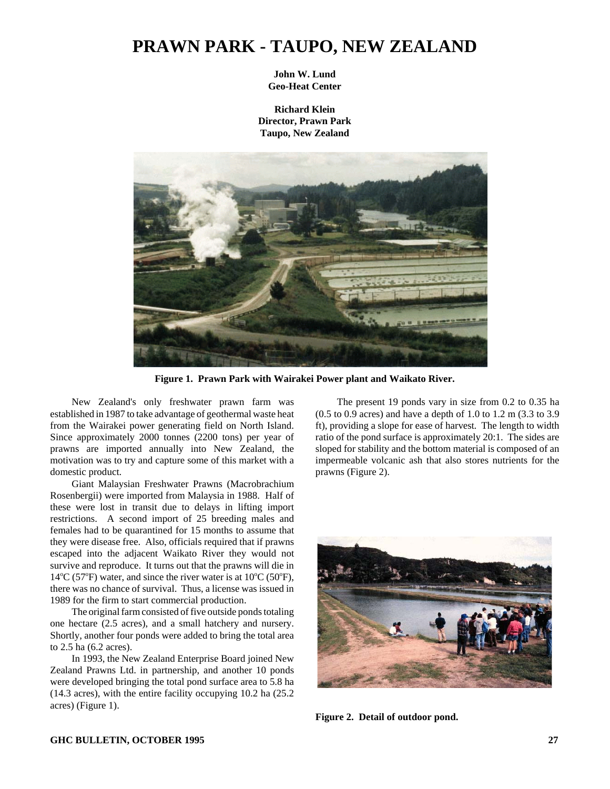## **PRAWN PARK - TAUPO, NEW ZEALAND**

**John W. Lund Geo-Heat Center**

**Richard Klein Director, Prawn Park Taupo, New Zealand**



**Figure 1. Prawn Park with Wairakei Power plant and Waikato River.**

New Zealand's only freshwater prawn farm was established in 1987 to take advantage of geothermal waste heat from the Wairakei power generating field on North Island. Since approximately 2000 tonnes (2200 tons) per year of prawns are imported annually into New Zealand, the motivation was to try and capture some of this market with a domestic product.

Giant Malaysian Freshwater Prawns (Macrobrachium Rosenbergii) were imported from Malaysia in 1988. Half of these were lost in transit due to delays in lifting import restrictions. A second import of 25 breeding males and females had to be quarantined for 15 months to assume that they were disease free. Also, officials required that if prawns escaped into the adjacent Waikato River they would not survive and reproduce. It turns out that the prawns will die in  $14^{\circ}$ C (57°F) water, and since the river water is at 10°C (50°F), there was no chance of survival. Thus, a license was issued in 1989 for the firm to start commercial production.

The original farm consisted of five outside ponds totaling one hectare (2.5 acres), and a small hatchery and nursery. Shortly, another four ponds were added to bring the total area to 2.5 ha (6.2 acres).

In 1993, the New Zealand Enterprise Board joined New Zealand Prawns Ltd. in partnership, and another 10 ponds were developed bringing the total pond surface area to 5.8 ha (14.3 acres), with the entire facility occupying 10.2 ha (25.2 acres) (Figure 1).

The present 19 ponds vary in size from 0.2 to 0.35 ha (0.5 to 0.9 acres) and have a depth of 1.0 to 1.2 m (3.3 to 3.9 ft), providing a slope for ease of harvest. The length to width ratio of the pond surface is approximately 20:1. The sides are sloped for stability and the bottom material is composed of an impermeable volcanic ash that also stores nutrients for the prawns (Figure 2).



**Figure 2. Detail of outdoor pond.**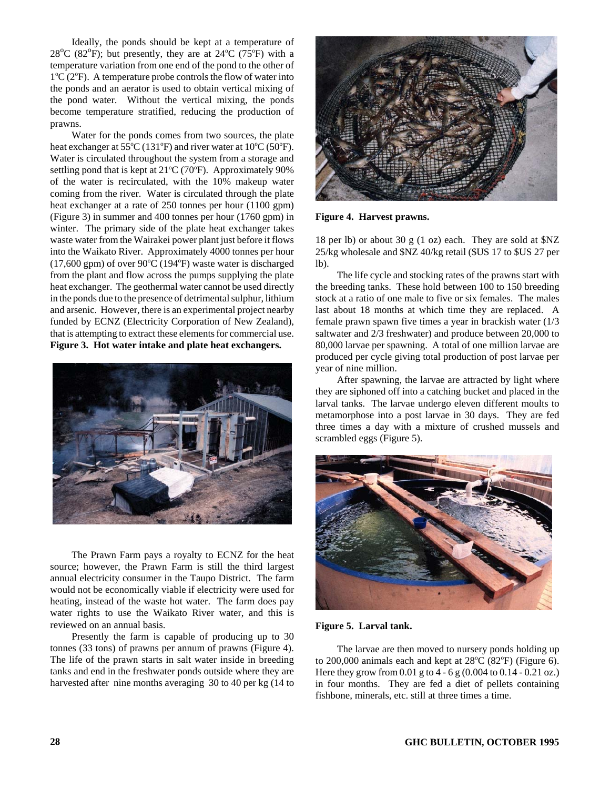Ideally, the ponds should be kept at a temperature of  $28^{\circ}$ C (82 $^{\circ}$ F); but presently, they are at 24 $^{\circ}$ C (75 $^{\circ}$ F) with a temperature variation from one end of the pond to the other of  $1^{\circ}$ C ( $2^{\circ}$ F). A temperature probe controls the flow of water into the ponds and an aerator is used to obtain vertical mixing of the pond water. Without the vertical mixing, the ponds become temperature stratified, reducing the production of prawns.

Water for the ponds comes from two sources, the plate heat exchanger at  $55^{\circ}$ C (131 $^{\circ}$ F) and river water at 10 $^{\circ}$ C (50 $^{\circ}$ F). Water is circulated throughout the system from a storage and settling pond that is kept at  $21^{\circ}$ C (70 $^{\circ}$ F). Approximately 90% of the water is recirculated, with the 10% makeup water coming from the river. Water is circulated through the plate heat exchanger at a rate of 250 tonnes per hour (1100 gpm) (Figure 3) in summer and 400 tonnes per hour (1760 gpm) in winter. The primary side of the plate heat exchanger takes waste water from the Wairakei power plant just before it flows into the Waikato River. Approximately 4000 tonnes per hour  $(17,600$  gpm) of over  $90^{\circ}$ C  $(194^{\circ}F)$  waste water is discharged from the plant and flow across the pumps supplying the plate heat exchanger. The geothermal water cannot be used directly in the ponds due to the presence of detrimental sulphur, lithium and arsenic. However, there is an experimental project nearby funded by ECNZ (Electricity Corporation of New Zealand), that is attempting to extract these elements for commercial use. **Figure 3. Hot water intake and plate heat exchangers.**



The Prawn Farm pays a royalty to ECNZ for the heat source; however, the Prawn Farm is still the third largest annual electricity consumer in the Taupo District. The farm would not be economically viable if electricity were used for heating, instead of the waste hot water. The farm does pay water rights to use the Waikato River water, and this is reviewed on an annual basis.

Presently the farm is capable of producing up to 30 tonnes (33 tons) of prawns per annum of prawns (Figure 4). The life of the prawn starts in salt water inside in breeding tanks and end in the freshwater ponds outside where they are harvested after nine months averaging 30 to 40 per kg (14 to



**Figure 4. Harvest prawns.**

18 per lb) or about 30 g (1 oz) each. They are sold at \$NZ 25/kg wholesale and \$NZ 40/kg retail (\$US 17 to \$US 27 per  $1<sub>b</sub>$ ).

The life cycle and stocking rates of the prawns start with the breeding tanks. These hold between 100 to 150 breeding stock at a ratio of one male to five or six females. The males last about 18 months at which time they are replaced. A female prawn spawn five times a year in brackish water (1/3 saltwater and 2/3 freshwater) and produce between 20,000 to 80,000 larvae per spawning. A total of one million larvae are produced per cycle giving total production of post larvae per year of nine million.

After spawning, the larvae are attracted by light where they are siphoned off into a catching bucket and placed in the larval tanks. The larvae undergo eleven different moults to metamorphose into a post larvae in 30 days. They are fed three times a day with a mixture of crushed mussels and scrambled eggs (Figure 5).



**Figure 5. Larval tank.**

The larvae are then moved to nursery ponds holding up to  $200,000$  animals each and kept at  $28^{\circ}$ C ( $82^{\circ}$ F) (Figure 6). Here they grow from 0.01 g to 4 - 6 g (0.004 to 0.14 - 0.21 oz.) in four months. They are fed a diet of pellets containing fishbone, minerals, etc. still at three times a time.